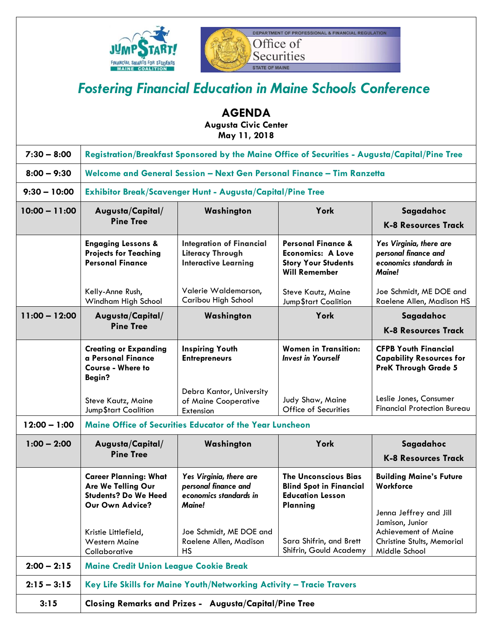



## *Fostering Financial Education in Maine Schools Conference*

|                 |                                                                                                      | <b>AGENDA</b><br><b>Augusta Civic Center</b><br>May 11, 2018                               |                                                                                                                 |                                                                                               |
|-----------------|------------------------------------------------------------------------------------------------------|--------------------------------------------------------------------------------------------|-----------------------------------------------------------------------------------------------------------------|-----------------------------------------------------------------------------------------------|
| $7:30 - 8:00$   | Registration/Breakfast Sponsored by the Maine Office of Securities - Augusta/Capital/Pine Tree       |                                                                                            |                                                                                                                 |                                                                                               |
| $8:00 - 9:30$   | Welcome and General Session - Next Gen Personal Finance - Tim Ranzetta                               |                                                                                            |                                                                                                                 |                                                                                               |
| $9:30 - 10:00$  | <b>Exhibitor Break/Scavenger Hunt - Augusta/Capital/Pine Tree</b>                                    |                                                                                            |                                                                                                                 |                                                                                               |
| $10:00 - 11:00$ | Augusta/Capital/<br><b>Pine Tree</b>                                                                 | Washington                                                                                 | York                                                                                                            | Sagadahoc<br><b>K-8 Resources Track</b>                                                       |
|                 | <b>Engaging Lessons &amp;</b><br><b>Projects for Teaching</b><br><b>Personal Finance</b>             | <b>Integration of Financial</b><br><b>Literacy Through</b><br><b>Interactive Learning</b>  | <b>Personal Finance &amp;</b><br><b>Economics: A Love</b><br><b>Story Your Students</b><br><b>Will Remember</b> | Yes Virginia, there are<br>personal finance and<br>economics standards in<br>Maine!           |
|                 | Kelly-Anne Rush,<br>Windham High School                                                              | Valerie Waldemarson,<br>Caribou High School                                                | Steve Kautz, Maine<br>Jump\$tart Coalition                                                                      | Joe Schmidt, ME DOE and<br>Raelene Allen, Madison HS                                          |
| $11:00 - 12:00$ | Augusta/Capital/                                                                                     | Washington                                                                                 | York                                                                                                            | Sagadahoc                                                                                     |
|                 | <b>Pine Tree</b>                                                                                     |                                                                                            |                                                                                                                 | <b>K-8 Resources Track</b>                                                                    |
|                 | <b>Creating or Expanding</b><br>a Personal Finance<br><b>Course - Where to</b><br>Begin?             | <b>Inspiring Youth</b><br><b>Entrepreneurs</b>                                             | <b>Women in Transition:</b><br><b>Invest in Yourself</b>                                                        | <b>CFPB Youth Financial</b><br><b>Capability Resources for</b><br><b>PreK Through Grade 5</b> |
|                 | Steve Kautz, Maine<br>Jump\$tart Coalition                                                           | Debra Kantor, University<br>of Maine Cooperative<br>Extension                              | Judy Shaw, Maine<br>Office of Securities                                                                        | Leslie Jones, Consumer<br><b>Financial Protection Bureau</b>                                  |
| $12:00 - 1:00$  | <b>Maine Office of Securities Educator of the Year Luncheon</b>                                      |                                                                                            |                                                                                                                 |                                                                                               |
| $1:00 - 2:00$   | Augusta/Capital/<br><b>Pine Tree</b>                                                                 | Washington                                                                                 | York                                                                                                            | Sagadahoc<br><b>K-8 Resources Track</b>                                                       |
|                 | <b>Career Planning: What</b><br>Are We Telling Our<br><b>Students? Do We Heed</b><br>Our Own Advice? | Yes Virginia, there are<br>personal finance and<br>economics standards in<br><b>Maine!</b> | <b>The Unconscious Bias</b><br><b>Blind Spot in Financial</b><br><b>Education Lesson</b><br>Planning            | <b>Building Maine's Future</b><br>Workforce<br>Jenna Jeffrey and Jill<br>Jamison, Junior      |
|                 | Kristie Littlefield,<br><b>Western Maine</b><br>Collaborative                                        | Joe Schmidt, ME DOE and<br>Raelene Allen, Madison<br>HS                                    | Sara Shifrin, and Brett<br>Shifrin, Gould Academy                                                               | <b>Achievement of Maine</b><br>Christine Stults, Memorial<br>Middle School                    |
| $2:00 - 2:15$   | <b>Maine Credit Union League Cookie Break</b>                                                        |                                                                                            |                                                                                                                 |                                                                                               |
| $2:15 - 3:15$   | Key Life Skills for Maine Youth/Networking Activity - Tracie Travers                                 |                                                                                            |                                                                                                                 |                                                                                               |
| 3:15            | <b>Closing Remarks and Prizes - Augusta/Capital/Pine Tree</b>                                        |                                                                                            |                                                                                                                 |                                                                                               |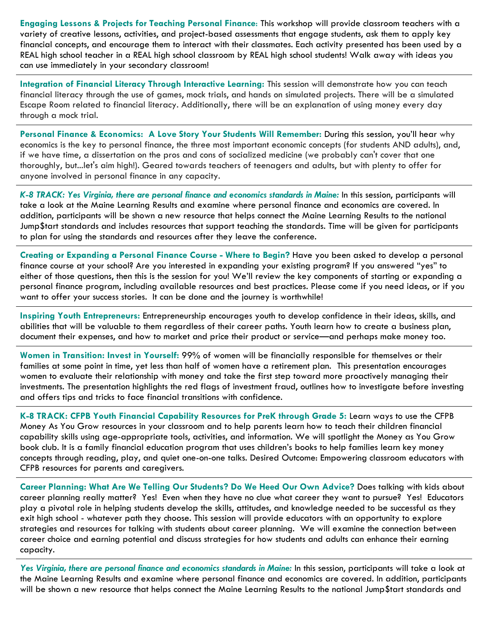**Engaging Lessons & Projects for Teaching Personal Finance**: This workshop will provide classroom teachers with a variety of creative lessons, activities, and project-based assessments that engage students, ask them to apply key financial concepts, and encourage them to interact with their classmates. Each activity presented has been used by a REAL high school teacher in a REAL high school classroom by REAL high school students! Walk away with ideas you can use immediately in your secondary classroom!

**Integration of Financial Literacy Through Interactive Learning:** This session will demonstrate how you can teach financial literacy through the use of games, mock trials, and hands on simulated projects. There will be a simulated Escape Room related to financial literacy. Additionally, there will be an explanation of using money every day through a mock trial.

**Personal Finance & Economics: A Love Story Your Students Will Remember:** During this session, you'll hear why economics is the key to personal finance, the three most important economic concepts (for students AND adults), and, if we have time, a dissertation on the pros and cons of socialized medicine (we probably can't cover that one thoroughly, but...let's aim high!). Geared towards teachers of teenagers and adults, but with plenty to offer for anyone involved in personal finance in any capacity.

*K-8 TRACK: Yes Virginia, there are personal finance and economics standards in Maine:* In this session, participants will take a look at the Maine Learning Results and examine where personal finance and economics are covered. In addition, participants will be shown a new resource that helps connect the Maine Learning Results to the national Jump\$tart standards and includes resources that support teaching the standards. Time will be given for participants to plan for using the standards and resources after they leave the conference.

**Creating or Expanding a Personal Finance Course - Where to Begin?** Have you been asked to develop a personal finance course at your school? Are you interested in expanding your existing program? If you answered "yes" to either of those questions, then this is the session for you! We'll review the key components of starting or expanding a personal finance program, including available resources and best practices. Please come if you need ideas, or if you want to offer your success stories. It can be done and the journey is worthwhile!

**Inspiring Youth Entrepreneurs:** Entrepreneurship encourages youth to develop confidence in their ideas, skills, and abilities that will be valuable to them regardless of their career paths. Youth learn how to create a business plan, document their expenses, and how to market and price their product or service—and perhaps make money too.

**Women in Transition: Invest in Yourself:** 99% of women will be financially responsible for themselves or their families at some point in time, yet less than half of women have a retirement plan. This presentation encourages women to evaluate their relationship with money and take the first step toward more proactively managing their investments. The presentation highlights the red flags of investment fraud, outlines how to investigate before investing and offers tips and tricks to face financial transitions with confidence.

**K-8 TRACK: CFPB Youth Financial Capability Resources for PreK through Grade 5:** Learn ways to use the CFPB Money As You Grow resources in your classroom and to help parents learn how to teach their children financial capability skills using age-appropriate tools, activities, and information. We will spotlight the Money as You Grow book club. It is a family financial education program that uses children's books to help families learn key money concepts through reading, play, and quiet one-on-one talks. Desired Outcome: Empowering classroom educators with CFPB resources for parents and caregivers.

**Career Planning: What Are We Telling Our Students? Do We Heed Our Own Advice?** Does talking with kids about career planning really matter? Yes! Even when they have no clue what career they want to pursue? Yes! Educators play a pivotal role in helping students develop the skills, attitudes, and knowledge needed to be successful as they exit high school - whatever path they choose. This session will provide educators with an opportunity to explore strategies and resources for talking with students about career planning. We will examine the connection between career choice and earning potential and discuss strategies for how students and adults can enhance their earning capacity.

*Yes Virginia, there are personal finance and economics standards in Maine:* In this session, participants will take a look at the Maine Learning Results and examine where personal finance and economics are covered. In addition, participants will be shown a new resource that helps connect the Maine Learning Results to the national Jump\$tart standards and